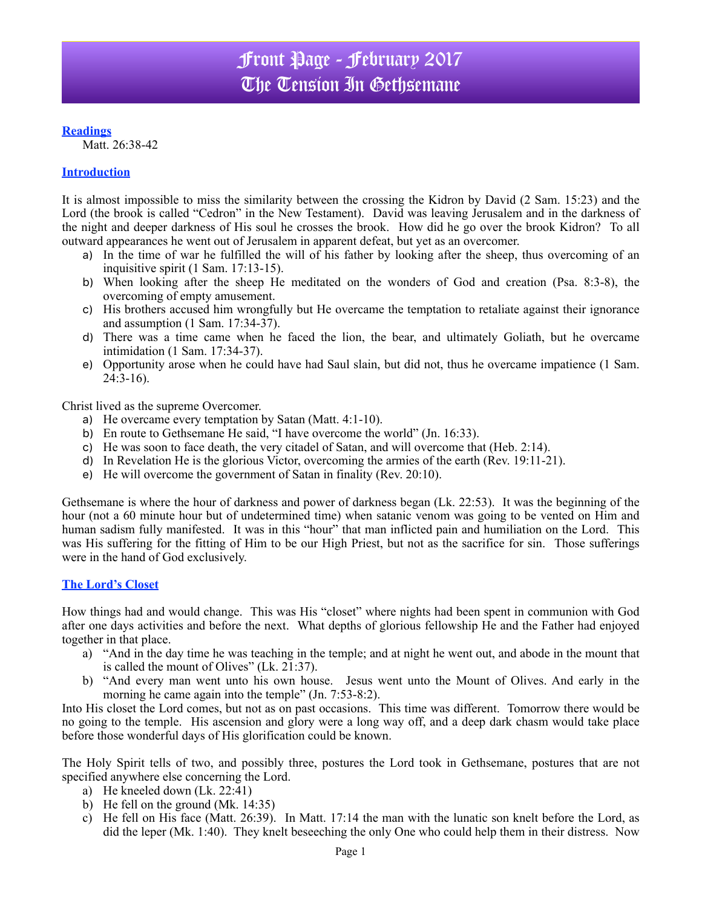## **Readings**

Matt. 26:38-42

### **Introduction**

It is almost impossible to miss the similarity between the crossing the Kidron by David (2 Sam. 15:23) and the Lord (the brook is called "Cedron" in the New Testament). David was leaving Jerusalem and in the darkness of the night and deeper darkness of His soul he crosses the brook. How did he go over the brook Kidron? To all outward appearances he went out of Jerusalem in apparent defeat, but yet as an overcomer.

- a) In the time of war he fulfilled the will of his father by looking after the sheep, thus overcoming of an inquisitive spirit (1 Sam. 17:13-15).
- b) When looking after the sheep He meditated on the wonders of God and creation (Psa. 8:3-8), the overcoming of empty amusement.
- c) His brothers accused him wrongfully but He overcame the temptation to retaliate against their ignorance and assumption (1 Sam. 17:34-37).
- d) There was a time came when he faced the lion, the bear, and ultimately Goliath, but he overcame intimidation (1 Sam. 17:34-37).
- e) Opportunity arose when he could have had Saul slain, but did not, thus he overcame impatience (1 Sam. 24:3-16).

Christ lived as the supreme Overcomer.

- a) He overcame every temptation by Satan (Matt. 4:1-10).
- b) En route to Gethsemane He said, "I have overcome the world" (Jn. 16:33).
- c) He was soon to face death, the very citadel of Satan, and will overcome that (Heb. 2:14).
- d) In Revelation He is the glorious Victor, overcoming the armies of the earth (Rev. 19:11-21).
- e) He will overcome the government of Satan in finality (Rev. 20:10).

Gethsemane is where the hour of darkness and power of darkness began (Lk. 22:53). It was the beginning of the hour (not a 60 minute hour but of undetermined time) when satanic venom was going to be vented on Him and human sadism fully manifested. It was in this "hour" that man inflicted pain and humiliation on the Lord. This was His suffering for the fitting of Him to be our High Priest, but not as the sacrifice for sin. Those sufferings were in the hand of God exclusively.

#### **The Lord's Closet**

How things had and would change. This was His "closet" where nights had been spent in communion with God after one days activities and before the next. What depths of glorious fellowship He and the Father had enjoyed together in that place.

- a) "And in the day time he was teaching in the temple; and at night he went out, and abode in the mount that is called the mount of Olives" (Lk. 21:37).
- b) "And every man went unto his own house. Jesus went unto the Mount of Olives. And early in the morning he came again into the temple" (Jn. 7:53-8:2).

Into His closet the Lord comes, but not as on past occasions. This time was different. Tomorrow there would be no going to the temple. His ascension and glory were a long way off, and a deep dark chasm would take place before those wonderful days of His glorification could be known.

The Holy Spirit tells of two, and possibly three, postures the Lord took in Gethsemane, postures that are not specified anywhere else concerning the Lord.

- a) He kneeled down (Lk. 22:41)
- b) He fell on the ground (Mk. 14:35)
- c) He fell on His face (Matt. 26:39). In Matt. 17:14 the man with the lunatic son knelt before the Lord, as did the leper (Mk. 1:40). They knelt beseeching the only One who could help them in their distress. Now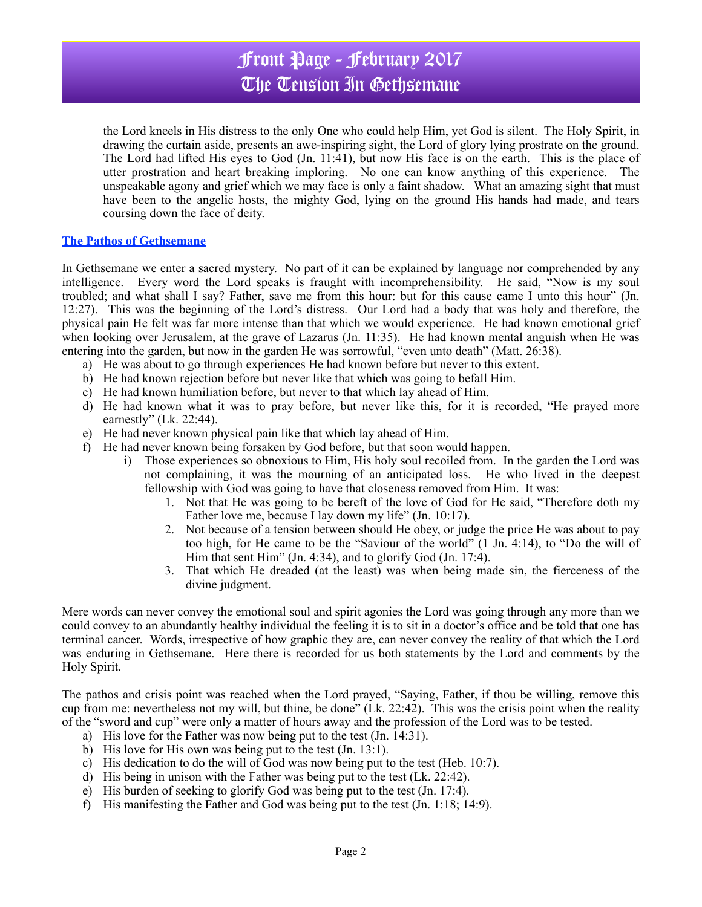# Front Page - February 2017 The Tension In Gethsemane

the Lord kneels in His distress to the only One who could help Him, yet God is silent. The Holy Spirit, in drawing the curtain aside, presents an awe-inspiring sight, the Lord of glory lying prostrate on the ground. The Lord had lifted His eyes to God (Jn. 11:41), but now His face is on the earth. This is the place of utter prostration and heart breaking imploring. No one can know anything of this experience. The unspeakable agony and grief which we may face is only a faint shadow. What an amazing sight that must have been to the angelic hosts, the mighty God, lying on the ground His hands had made, and tears coursing down the face of deity.

#### **The Pathos of Gethsemane**

In Gethsemane we enter a sacred mystery. No part of it can be explained by language nor comprehended by any intelligence. Every word the Lord speaks is fraught with incomprehensibility. He said, "Now is my soul troubled; and what shall I say? Father, save me from this hour: but for this cause came I unto this hour" (Jn. 12:27). This was the beginning of the Lord's distress. Our Lord had a body that was holy and therefore, the physical pain He felt was far more intense than that which we would experience. He had known emotional grief when looking over Jerusalem, at the grave of Lazarus (Jn. 11:35). He had known mental anguish when He was entering into the garden, but now in the garden He was sorrowful, "even unto death" (Matt. 26:38).

- a) He was about to go through experiences He had known before but never to this extent.
- b) He had known rejection before but never like that which was going to befall Him.
- c) He had known humiliation before, but never to that which lay ahead of Him.
- d) He had known what it was to pray before, but never like this, for it is recorded, "He prayed more earnestly" (Lk. 22:44).
- e) He had never known physical pain like that which lay ahead of Him.
- f) He had never known being forsaken by God before, but that soon would happen.
	- i) Those experiences so obnoxious to Him, His holy soul recoiled from. In the garden the Lord was not complaining, it was the mourning of an anticipated loss. He who lived in the deepest fellowship with God was going to have that closeness removed from Him. It was:
		- 1. Not that He was going to be bereft of the love of God for He said, "Therefore doth my Father love me, because I lay down my life" (Jn. 10:17).
		- 2. Not because of a tension between should He obey, or judge the price He was about to pay too high, for He came to be the "Saviour of the world" (1 Jn. 4:14), to "Do the will of Him that sent Him" (Jn. 4:34), and to glorify God (Jn. 17:4).
		- 3. That which He dreaded (at the least) was when being made sin, the fierceness of the divine judgment.

Mere words can never convey the emotional soul and spirit agonies the Lord was going through any more than we could convey to an abundantly healthy individual the feeling it is to sit in a doctor's office and be told that one has terminal cancer. Words, irrespective of how graphic they are, can never convey the reality of that which the Lord was enduring in Gethsemane. Here there is recorded for us both statements by the Lord and comments by the Holy Spirit.

The pathos and crisis point was reached when the Lord prayed, "Saying, Father, if thou be willing, remove this cup from me: nevertheless not my will, but thine, be done" (Lk. 22:42). This was the crisis point when the reality of the "sword and cup" were only a matter of hours away and the profession of the Lord was to be tested.

- a) His love for the Father was now being put to the test (Jn. 14:31).
- b) His love for His own was being put to the test (Jn. 13:1).
- c) His dedication to do the will of God was now being put to the test (Heb. 10:7).
- d) His being in unison with the Father was being put to the test (Lk. 22:42).
- e) His burden of seeking to glorify God was being put to the test (Jn. 17:4).
- f) His manifesting the Father and God was being put to the test (Jn. 1:18; 14:9).